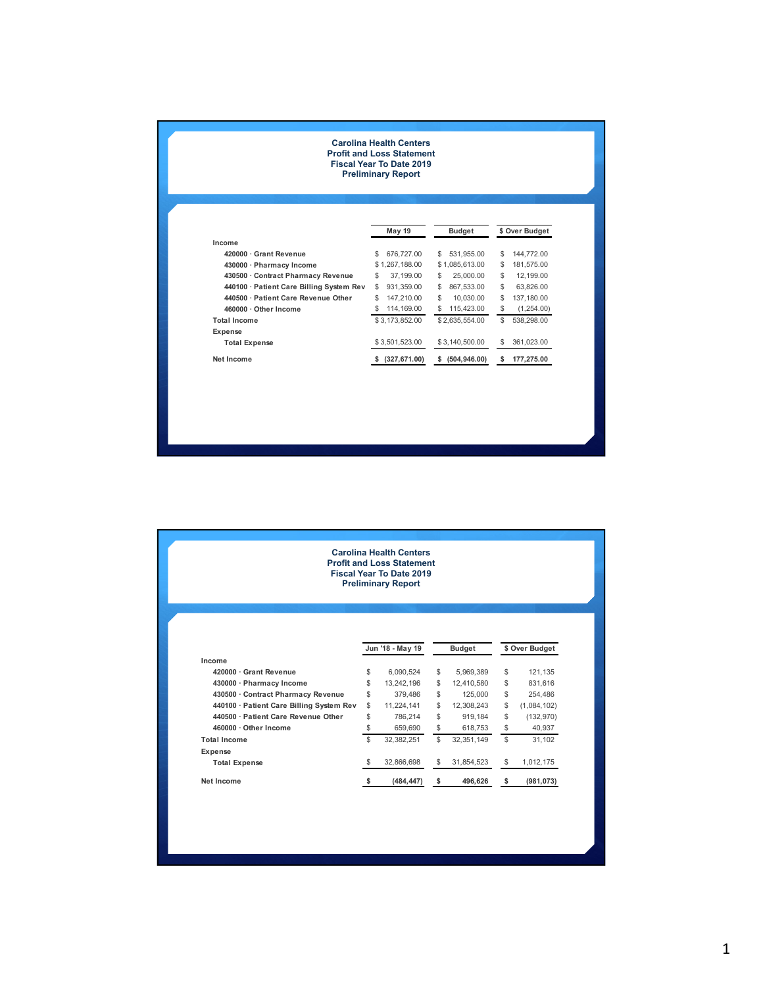## **Carolina Health Centers Profit and Loss Statement Fiscal Year To Date 2019**

**Preliminary Report**

|                                          | <b>May 19</b>  | <b>Budget</b>  | \$ Over Budget   |  |  |  |
|------------------------------------------|----------------|----------------|------------------|--|--|--|
| Income                                   |                |                |                  |  |  |  |
| 420000 · Grant Revenue                   | \$             | 531.955.00     | \$               |  |  |  |
|                                          | 676,727.00     | \$             | 144.772.00       |  |  |  |
| 430000 · Pharmacy Income                 | \$1,267,188,00 | \$1.085.613.00 | \$<br>181.575.00 |  |  |  |
| 430500 · Contract Pharmacy Revenue       | \$             | \$             | \$               |  |  |  |
|                                          | 37,199,00      | 25,000.00      | 12.199.00        |  |  |  |
| 440100 · Patient Care Billing System Rev | S              | \$             | \$               |  |  |  |
|                                          | 931.359.00     | 867.533.00     | 63.826.00        |  |  |  |
| 440500 · Patient Care Revenue Other      | 147.210.00     | \$             | \$               |  |  |  |
|                                          | \$             | 10.030.00      | 137.180.00       |  |  |  |
| 460000 · Other Income                    | S              | 115.423.00     | \$               |  |  |  |
|                                          | 114, 169.00    | \$             | (1,254.00)       |  |  |  |
| <b>Total Income</b>                      | \$3,173,852.00 | \$2,635,554.00 | \$<br>538.298.00 |  |  |  |
| Expense                                  |                |                |                  |  |  |  |
| <b>Total Expense</b>                     | \$3.501.523.00 | \$3,140,500,00 | 361,023.00<br>S  |  |  |  |
| Net Income                               | (327, 671.00)  | (504, 946.00)  | 177,275.00       |  |  |  |
|                                          | s.             | \$             | s                |  |  |  |

| <b>Carolina Health Centers</b>   |
|----------------------------------|
| <b>Profit and Loss Statement</b> |
| <b>Fiscal Year To Date 2019</b>  |
| <b>Preliminary Report</b>        |

|                                          | Jun '18 - May 19 |    | <b>Budget</b> | \$ Over Budget |             |  |  |  |
|------------------------------------------|------------------|----|---------------|----------------|-------------|--|--|--|
| Income                                   |                  |    |               |                |             |  |  |  |
| 420000 · Grant Revenue                   | \$<br>6.090.524  | \$ | 5.969.389     | \$             | 121.135     |  |  |  |
| 430000 · Pharmacy Income                 | \$<br>13,242,196 | \$ | 12.410.580    | S              | 831.616     |  |  |  |
| 430500 Contract Pharmacy Revenue         | \$<br>379.486    | \$ | 125,000       | \$             | 254.486     |  |  |  |
| 440100 · Patient Care Billing System Rev | \$<br>11.224.141 | \$ | 12.308.243    | \$             | (1,084,102) |  |  |  |
| 440500 · Patient Care Revenue Other      | \$<br>786.214    | \$ | 919.184       | \$             | (132, 970)  |  |  |  |
| $460000 \cdot$ Other Income              | \$<br>659,690    | S  | 618.753       | \$             | 40.937      |  |  |  |
| <b>Total Income</b>                      | \$<br>32.382.251 | \$ | 32.351.149    | \$             | 31.102      |  |  |  |
| Expense                                  |                  |    |               |                |             |  |  |  |
| <b>Total Expense</b>                     | \$<br>32,866,698 | S  | 31.854.523    | \$             | 1,012,175   |  |  |  |
| Net Income                               | (484, 447)       | s  | 496.626       | \$             | (981, 073)  |  |  |  |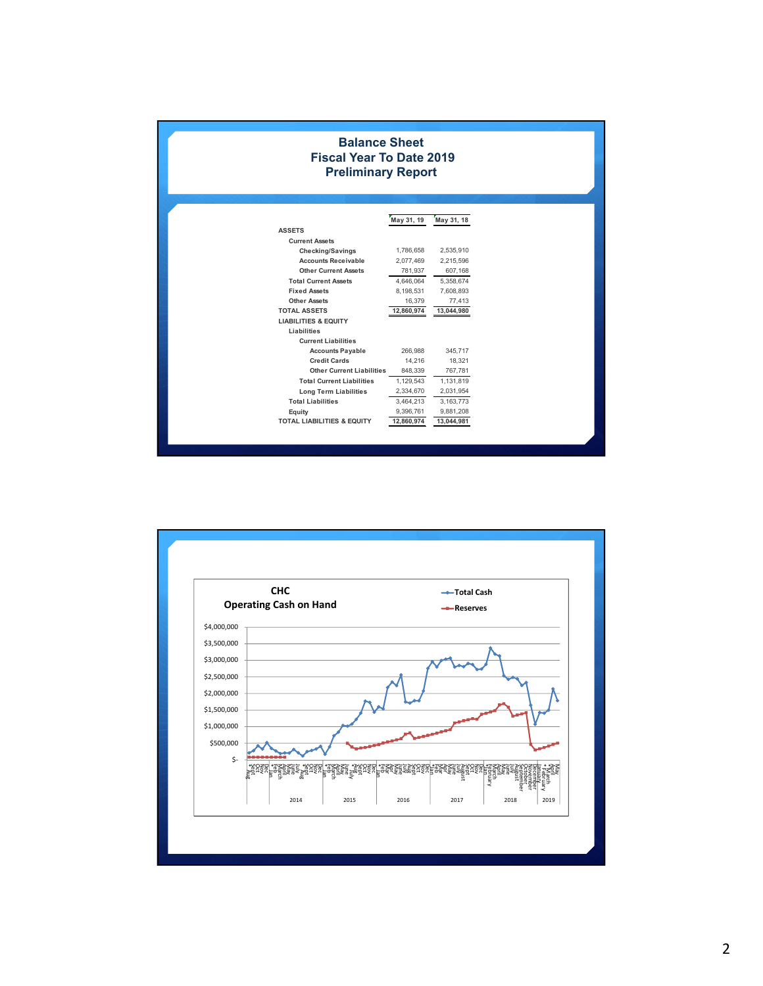| <b>Balance Sheet</b><br><b>Fiscal Year To Date 2019</b><br><b>Preliminary Report</b> |            |            |  |  |  |  |  |  |  |  |  |  |  |  |
|--------------------------------------------------------------------------------------|------------|------------|--|--|--|--|--|--|--|--|--|--|--|--|
| May 31, 19<br>May 31, 18                                                             |            |            |  |  |  |  |  |  |  |  |  |  |  |  |
| <b>ASSETS</b>                                                                        |            |            |  |  |  |  |  |  |  |  |  |  |  |  |
| <b>Current Assets</b>                                                                |            |            |  |  |  |  |  |  |  |  |  |  |  |  |
| Checking/Savings                                                                     | 1,786,658  | 2,535,910  |  |  |  |  |  |  |  |  |  |  |  |  |
| <b>Accounts Receivable</b>                                                           | 2,077,469  | 2,215,596  |  |  |  |  |  |  |  |  |  |  |  |  |
| <b>Other Current Assets</b>                                                          | 781,937    | 607,168    |  |  |  |  |  |  |  |  |  |  |  |  |
| <b>Total Current Assets</b>                                                          | 4,646,064  | 5,358,674  |  |  |  |  |  |  |  |  |  |  |  |  |
| <b>Fixed Assets</b>                                                                  | 8,198,531  | 7,608,893  |  |  |  |  |  |  |  |  |  |  |  |  |
| <b>Other Assets</b>                                                                  | 16,379     | 77,413     |  |  |  |  |  |  |  |  |  |  |  |  |
| <b>TOTAL ASSETS</b>                                                                  | 12,860,974 | 13,044,980 |  |  |  |  |  |  |  |  |  |  |  |  |
| <b>LIABILITIES &amp; EQUITY</b>                                                      |            |            |  |  |  |  |  |  |  |  |  |  |  |  |
| Liabilities                                                                          |            |            |  |  |  |  |  |  |  |  |  |  |  |  |
| <b>Current Liabilities</b>                                                           |            |            |  |  |  |  |  |  |  |  |  |  |  |  |
| <b>Accounts Payable</b>                                                              | 266,988    | 345,717    |  |  |  |  |  |  |  |  |  |  |  |  |
| <b>Credit Cards</b>                                                                  | 14,216     | 18,321     |  |  |  |  |  |  |  |  |  |  |  |  |
| <b>Other Current Liabilities</b>                                                     | 848,339    | 767,781    |  |  |  |  |  |  |  |  |  |  |  |  |
| <b>Total Current Liabilities</b>                                                     | 1,129,543  | 1,131,819  |  |  |  |  |  |  |  |  |  |  |  |  |
| <b>Long Term Liabilities</b>                                                         | 2,334,670  | 2,031,954  |  |  |  |  |  |  |  |  |  |  |  |  |
| <b>Total Liabilities</b>                                                             | 3,464,213  | 3,163,773  |  |  |  |  |  |  |  |  |  |  |  |  |
| Equity                                                                               | 9,396,761  | 9,881,208  |  |  |  |  |  |  |  |  |  |  |  |  |
| <b>TOTAL LIABILITIES &amp; EQUITY</b>                                                | 12,860,974 | 13,044,981 |  |  |  |  |  |  |  |  |  |  |  |  |